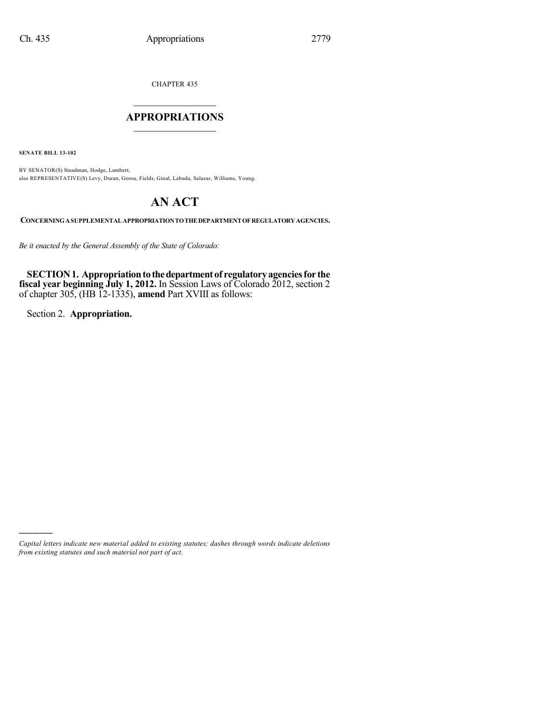CHAPTER 435

## $\mathcal{L}_\text{max}$  . The set of the set of the set of the set of the set of the set of the set of the set of the set of the set of the set of the set of the set of the set of the set of the set of the set of the set of the set **APPROPRIATIONS**  $\_$   $\_$   $\_$   $\_$   $\_$   $\_$   $\_$   $\_$

**SENATE BILL 13-102**

BY SENATOR(S) Steadman, Hodge, Lambert; also REPRESENTATIVE(S) Levy, Duran, Gerou, Fields, Ginal, Labuda, Salazar, Williams, Young.

# **AN ACT**

**CONCERNINGASUPPLEMENTAL APPROPRIATIONTOTHEDEPARTMENTOFREGULATORYAGENCIES.**

*Be it enacted by the General Assembly of the State of Colorado:*

**SECTION 1. Appropriation to the department of regulatory agencies for the fiscal year beginning July 1, 2012.** In Session Laws of Colorado 2012, section 2 of chapter 305, (HB 12-1335), **amend** Part XVIII as follows:

Section 2. **Appropriation.**

)))))

*Capital letters indicate new material added to existing statutes; dashes through words indicate deletions from existing statutes and such material not part of act.*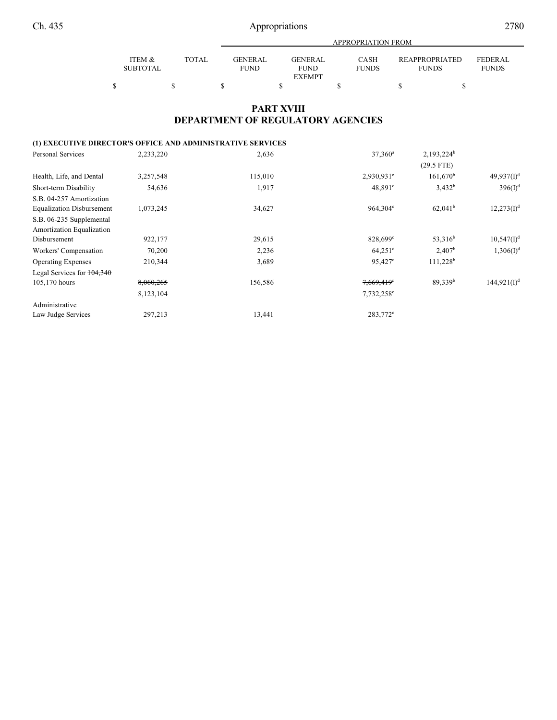|                   |              |                | APPROPRIATION FROM |              |                       |                |  |  |  |  |  |  |  |
|-------------------|--------------|----------------|--------------------|--------------|-----------------------|----------------|--|--|--|--|--|--|--|
|                   |              |                |                    |              |                       |                |  |  |  |  |  |  |  |
| <b>ITEM &amp;</b> | <b>TOTAL</b> | <b>GENERAL</b> | <b>GENERAL</b>     | <b>CASH</b>  | <b>REAPPROPRIATED</b> | <b>FEDERAL</b> |  |  |  |  |  |  |  |
| <b>SUBTOTAL</b>   |              | <b>FUND</b>    | <b>FUND</b>        | <b>FUNDS</b> | <b>FUNDS</b>          | <b>FUNDS</b>   |  |  |  |  |  |  |  |
|                   |              |                | <b>EXEMPT</b>      |              |                       |                |  |  |  |  |  |  |  |
|                   |              |                |                    |              |                       |                |  |  |  |  |  |  |  |

### **PART XVIII DEPARTMENT OF REGULATORY AGENCIES**

### **(1) EXECUTIVE DIRECTOR'S OFFICE AND ADMINISTRATIVE SERVICES**

| <b>Personal Services</b>         | 2,233,220 | 2,636   | $37,360^{\rm a}$       | $2,193,224^b$       |                       |
|----------------------------------|-----------|---------|------------------------|---------------------|-----------------------|
|                                  |           |         |                        | $(29.5$ FTE)        |                       |
| Health, Life, and Dental         | 3,257,548 | 115,010 | $2,930,931$ °          | $161,670^{\rm b}$   | $49,937(1)^d$         |
| Short-term Disability            | 54,636    | 1,917   | $48,891^{\circ}$       | $3,432^b$           | $396(I)^{d}$          |
| S.B. 04-257 Amortization         |           |         |                        |                     |                       |
| <b>Equalization Disbursement</b> | 1,073,245 | 34,627  | 964.304 <sup>c</sup>   | $62,041^{\rm b}$    | $12,273(1)^d$         |
| S.B. 06-235 Supplemental         |           |         |                        |                     |                       |
| Amortization Equalization        |           |         |                        |                     |                       |
| Disbursement                     | 922,177   | 29,615  | 828,699°               | 53,316 <sup>b</sup> | $10,547(1)^d$         |
| Workers' Compensation            | 70,200    | 2,236   | $64,251^{\circ}$       | 2,407 <sup>b</sup>  | 1,306(1) <sup>d</sup> |
| <b>Operating Expenses</b>        | 210,344   | 3,689   | $95,427^{\circ}$       | $111,228^b$         |                       |
| Legal Services for $104,340$     |           |         |                        |                     |                       |
| 105,170 hours                    | 8,060,265 | 156,586 | 7,669,419 <sup>e</sup> | 89.339 <sup>b</sup> | $144,921(I)^d$        |
|                                  | 8,123,104 |         | 7,732,258°             |                     |                       |
| Administrative                   |           |         |                        |                     |                       |
| Law Judge Services               | 297,213   | 13,441  | 283,772 <sup>c</sup>   |                     |                       |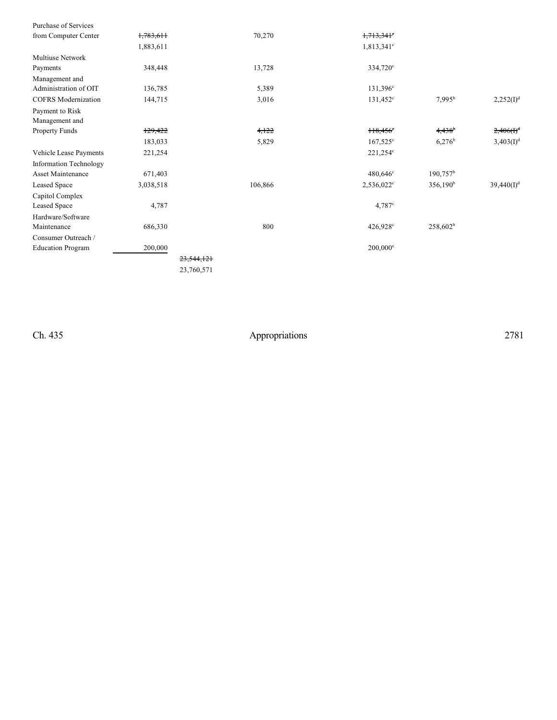| Purchase of Services          |           |            |                        |                      |                       |
|-------------------------------|-----------|------------|------------------------|----------------------|-----------------------|
| from Computer Center          | 1,783,611 | 70,270     | $1,713,341$ °          |                      |                       |
|                               | 1,883,611 |            | 1,813,341 <sup>c</sup> |                      |                       |
| Multiuse Network              |           |            |                        |                      |                       |
| Payments                      | 348,448   | 13,728     | 334,720°               |                      |                       |
| Management and                |           |            |                        |                      |                       |
| Administration of OIT         | 136,785   | 5,389      | $131,396^{\circ}$      |                      |                       |
| <b>COFRS</b> Modernization    | 144,715   | 3,016      | $131,452^{\circ}$      | $7,995^{\rm b}$      | $2,252(I)^{d}$        |
| Payment to Risk               |           |            |                        |                      |                       |
| Management and                |           |            |                        |                      |                       |
| Property Funds                | 129,422   | 4,122      | $118,456$ <sup>e</sup> | $4,438$ <sup>b</sup> | $2,406(f)^d$          |
|                               | 183,033   | 5,829      | $167,525^{\circ}$      | $6,276^b$            | 3,403(I) <sup>d</sup> |
| Vehicle Lease Payments        | 221,254   |            | $221,254^{\circ}$      |                      |                       |
| <b>Information Technology</b> |           |            |                        |                      |                       |
| <b>Asset Maintenance</b>      | 671,403   |            | $480,646^{\circ}$      | $190,757^{\rm b}$    |                       |
| Leased Space                  | 3,038,518 | 106,866    | 2,536,022 <sup>c</sup> | $356,190^b$          | $39,440(I)^d$         |
| Capitol Complex               |           |            |                        |                      |                       |
| Leased Space                  | 4,787     |            | $4,787$ °              |                      |                       |
| Hardware/Software             |           |            |                        |                      |                       |
| Maintenance                   | 686,330   | 800        | $426,928^{\circ}$      | $258,602^b$          |                       |
| Consumer Outreach /           |           |            |                        |                      |                       |
| <b>Education Program</b>      | 200,000   |            | $200,000^{\circ}$      |                      |                       |
|                               |           | 23,544,121 |                        |                      |                       |
|                               |           | 23,760,571 |                        |                      |                       |
|                               |           |            |                        |                      |                       |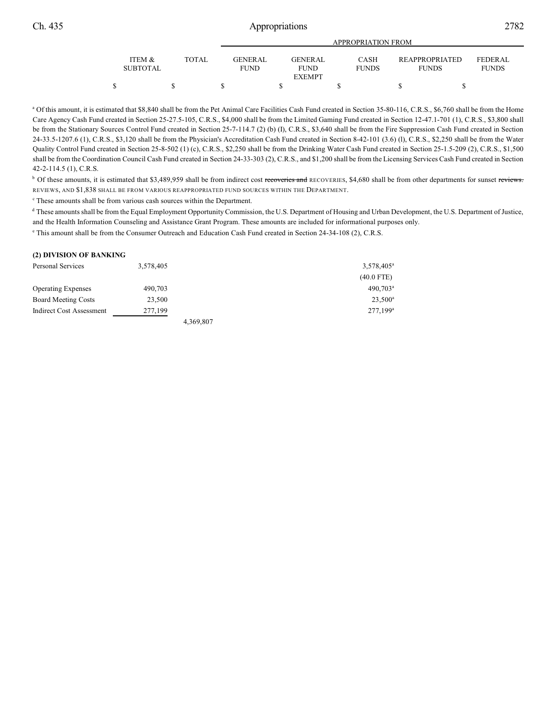|                   |        |                 | APPROPRIATION FROM |              |                       |              |
|-------------------|--------|-----------------|--------------------|--------------|-----------------------|--------------|
| <b>ITEM &amp;</b> | TOTAL. | <b>GENER AL</b> | <b>GENERAL</b>     | <b>CASH</b>  | <b>REAPPROPRIATED</b> | FEDERAL      |
| <b>SUBTOTAL</b>   |        | <b>FUND</b>     | <b>FUND</b>        | <b>FUNDS</b> | <b>FUNDS</b>          | <b>FUNDS</b> |
|                   |        |                 | <b>EXEMPT</b>      |              |                       |              |
|                   |        |                 |                    |              |                       |              |

<sup>a</sup> Of this amount, it is estimated that \$8,840 shall be from the Pet Animal Care Facilities Cash Fund created in Section 35-80-116, C.R.S., \$6,760 shall be from the Home Care Agency Cash Fund created in Section 25-27.5-105, C.R.S., \$4,000 shall be from the Limited Gaming Fund created in Section 12-47.1-701 (1), C.R.S., \$3,800 shall be from the Stationary Sources Control Fund created in Section 25-7-114.7 (2) (b) (I), C.R.S., \$3,640 shall be from the Fire Suppression Cash Fund created in Section 24-33.5-1207.6 (1), C.R.S., \$3,120 shall be from the Physician's Accreditation Cash Fund created in Section 8-42-101 (3.6) (l), C.R.S., \$2,250 shall be from the Water Quality Control Fund created in Section 25-8-502 (1) (c), C.R.S., \$2,250 shall be from the Drinking Water Cash Fund created in Section 25-1.5-209 (2), C.R.S., \$1,500 shall be from the Coordination Council Cash Fund created in Section 24-33-303 (2), C.R.S., and \$1,200 shall be from the Licensing Services Cash Fund created in Section 42-2-114.5 (1), C.R.S.

<sup>b</sup> Of these amounts, it is estimated that \$3,489,959 shall be from indirect cost recoveries and RECOVERIES, \$4,680 shall be from other departments for sunset reviews. REVIEWS, AND \$1,838 SHALL BE FROM VARIOUS REAPPROPRIATED FUND SOURCES WITHIN THE DEPARTMENT.

<sup>c</sup> These amounts shall be from various cash sources within the Department.

<sup>d</sup> These amounts shall be from the Equal Employment Opportunity Commission, the U.S. Department of Housing and Urban Development, the U.S. Department of Justice, and the Health Information Counseling and Assistance Grant Program. These amounts are included for informational purposes only.

<sup>e</sup> This amount shall be from the Consumer Outreach and Education Cash Fund created in Section 24-34-108 (2), C.R.S.

| (2) DIVISION OF BANKING         |           |           |                        |
|---------------------------------|-----------|-----------|------------------------|
| Personal Services               | 3,578,405 |           | 3,578,405 <sup>a</sup> |
|                                 |           |           | $(40.0$ FTE)           |
| <b>Operating Expenses</b>       | 490,703   |           | 490,703 <sup>a</sup>   |
| <b>Board Meeting Costs</b>      | 23,500    |           | $23,500^{\rm a}$       |
| <b>Indirect Cost Assessment</b> | 277.199   |           | $277.199^a$            |
|                                 |           | 4.369.807 |                        |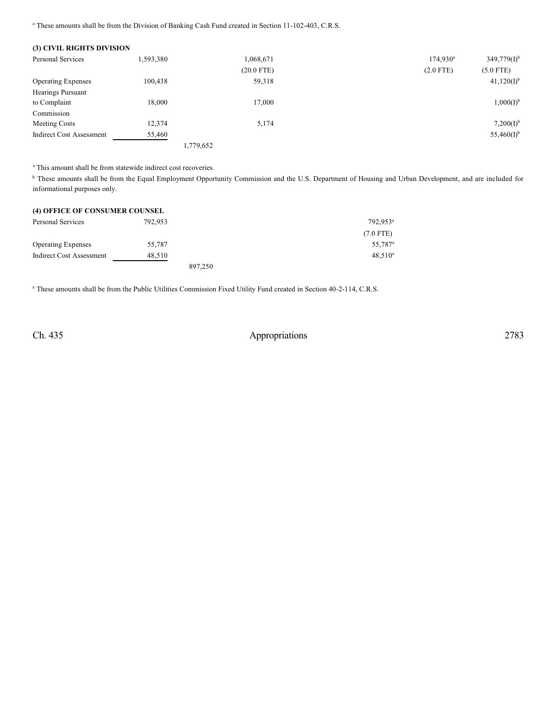<sup>a</sup> These amounts shall be from the Division of Banking Cash Fund created in Section 11-102-403, C.R.S.

| (3) CIVIL RIGHTS DIVISION       |           |              |                   |                  |
|---------------------------------|-----------|--------------|-------------------|------------------|
| <b>Personal Services</b>        | 1,593,380 | 1,068,671    | $174,930^{\circ}$ | $349,779(I)^{b}$ |
|                                 |           | $(20.0$ FTE) | $(2.0$ FTE)       | $(5.0$ FTE)      |
| <b>Operating Expenses</b>       | 100,438   | 59,318       |                   | $41,120(I)^{b}$  |
| Hearings Pursuant               |           |              |                   |                  |
| to Complaint                    | 18,000    | 17.000       |                   | $1,000(I)^{b}$   |
| Commission                      |           |              |                   |                  |
| Meeting Costs                   | 12,374    | 5,174        |                   | $7,200(I)^{b}$   |
| <b>Indirect Cost Assessment</b> | 55,460    |              |                   | $55,460(I)^{b}$  |
|                                 |           | 1,779,652    |                   |                  |

<sup>a</sup> This amount shall be from statewide indirect cost recoveries.

<sup>b</sup> These amounts shall be from the Equal Employment Opportunity Commission and the U.S. Department of Housing and Urban Development, and are included for informational purposes only.

| (4) OFFICE OF CONSUMER COUNSEL |         |         |                      |
|--------------------------------|---------|---------|----------------------|
| Personal Services              | 792.953 |         | 792.953 <sup>a</sup> |
|                                |         |         | $(7.0$ FTE)          |
| <b>Operating Expenses</b>      | 55.787  |         | 55.787 <sup>a</sup>  |
| Indirect Cost Assessment       | 48.510  |         | $48.510^a$           |
|                                |         | 897.250 |                      |

<sup>a</sup> These amounts shall be from the Public Utilities Commission Fixed Utility Fund created in Section 40-2-114, C.R.S.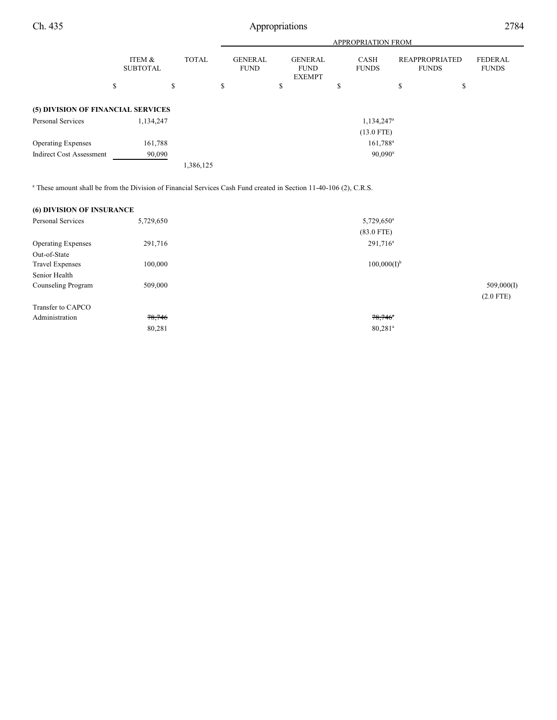|                                    |                           |              | <b>APPROPRIATION FROM</b>     |    |                                                |    |                             |                                       |    |                                |
|------------------------------------|---------------------------|--------------|-------------------------------|----|------------------------------------------------|----|-----------------------------|---------------------------------------|----|--------------------------------|
|                                    | ITEM &<br><b>SUBTOTAL</b> | <b>TOTAL</b> | <b>GENERAL</b><br><b>FUND</b> |    | <b>GENERAL</b><br><b>FUND</b><br><b>EXEMPT</b> |    | <b>CASH</b><br><b>FUNDS</b> | <b>REAPPROPRIATED</b><br><b>FUNDS</b> |    | <b>FEDERAL</b><br><b>FUNDS</b> |
|                                    | \$                        | \$           | \$                            | \$ |                                                | \$ |                             | \$                                    | \$ |                                |
| (5) DIVISION OF FINANCIAL SERVICES |                           |              |                               |    |                                                |    |                             |                                       |    |                                |
| Personal Services                  | 1,134,247                 |              |                               |    |                                                |    | 1,134,247 <sup>a</sup>      |                                       |    |                                |
|                                    |                           |              |                               |    |                                                |    | $(13.0$ FTE)                |                                       |    |                                |
| <b>Operating Expenses</b>          | 161,788                   |              |                               |    |                                                |    | 161,788 <sup>a</sup>        |                                       |    |                                |
| <b>Indirect Cost Assessment</b>    | 90,090                    |              |                               |    |                                                |    | $90,090^{\rm a}$            |                                       |    |                                |
|                                    |                           | 1,386,125    |                               |    |                                                |    |                             |                                       |    |                                |

 $^{\circ}$  These amount shall be from the Division of Financial Services Cash Fund created in Section 11-40-106 (2), C.R.S.

| <b>(6) DIVISION OF INSURANCE</b> |           |                       |             |
|----------------------------------|-----------|-----------------------|-------------|
| <b>Personal Services</b>         | 5,729,650 | $5,729,650^a$         |             |
|                                  |           | $(83.0$ FTE)          |             |
| <b>Operating Expenses</b>        | 291,716   | $291,716^a$           |             |
| Out-of-State                     |           |                       |             |
| <b>Travel Expenses</b>           | 100,000   | $100,000(I)^{b}$      |             |
| Senior Health                    |           |                       |             |
| Counseling Program               | 509,000   |                       | 509,000(I)  |
|                                  |           |                       | $(2.0$ FTE) |
| Transfer to CAPCO                |           |                       |             |
| Administration                   | 78,746    | $78,746$ <sup>*</sup> |             |
|                                  | 80,281    | $80,281^a$            |             |
|                                  |           |                       |             |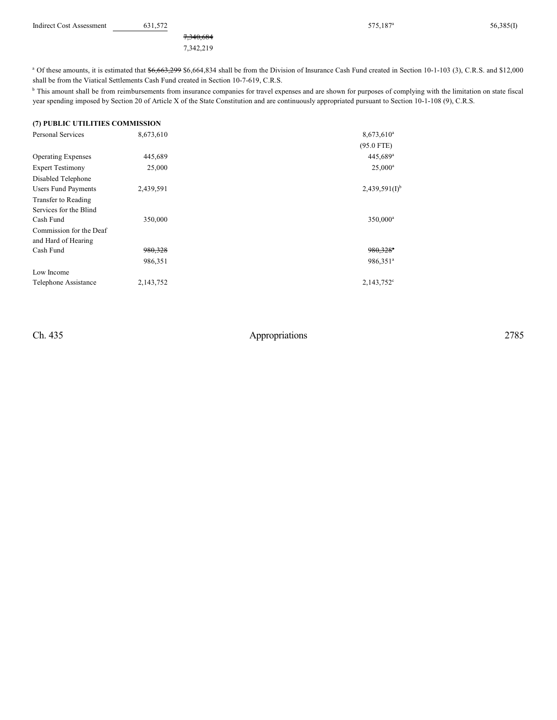| <b>Indirect Cost Assessment</b> | 521 572<br>631.572 | 575.187 <sup>a</sup> | 56.385(I) |
|---------------------------------|--------------------|----------------------|-----------|
|                                 |                    |                      |           |

7,340,684 7,342,219 575,187<sup>a</sup>

<sup>a</sup> Of these amounts, it is estimated that \$6,663,299 \$6,664,834 shall be from the Division of Insurance Cash Fund created in Section 10-1-103 (3), C.R.S. and \$12,000 shall be from the Viatical Settlements Cash Fund created in Section 10-7-619, C.R.S.

<sup>b</sup> This amount shall be from reimbursements from insurance companies for travel expenses and are shown for purposes of complying with the limitation on state fiscal year spending imposed by Section 20 of Article X of the State Constitution and are continuously appropriated pursuant to Section 10-1-108 (9), C.R.S.

#### **(7) PUBLIC UTILITIES COMMISSION**

| <b>Personal Services</b>   | 8,673,610 | $8,673,610^a$          |
|----------------------------|-----------|------------------------|
|                            |           | $(95.0$ FTE)           |
| <b>Operating Expenses</b>  | 445,689   | 445,689 <sup>a</sup>   |
| <b>Expert Testimony</b>    | 25,000    | $25,000^{\rm a}$       |
| Disabled Telephone         |           |                        |
| <b>Users Fund Payments</b> | 2,439,591 | $2,439,591(1)^{b}$     |
| Transfer to Reading        |           |                        |
| Services for the Blind     |           |                        |
| Cash Fund                  | 350,000   | 350,000 <sup>a</sup>   |
| Commission for the Deaf    |           |                        |
| and Hard of Hearing        |           |                        |
| Cash Fund                  | 980,328   | $980,328$ <sup>a</sup> |
|                            | 986,351   | 986,351 <sup>a</sup>   |
| Low Income                 |           |                        |
| Telephone Assistance       | 2,143,752 | $2,143,752^{\circ}$    |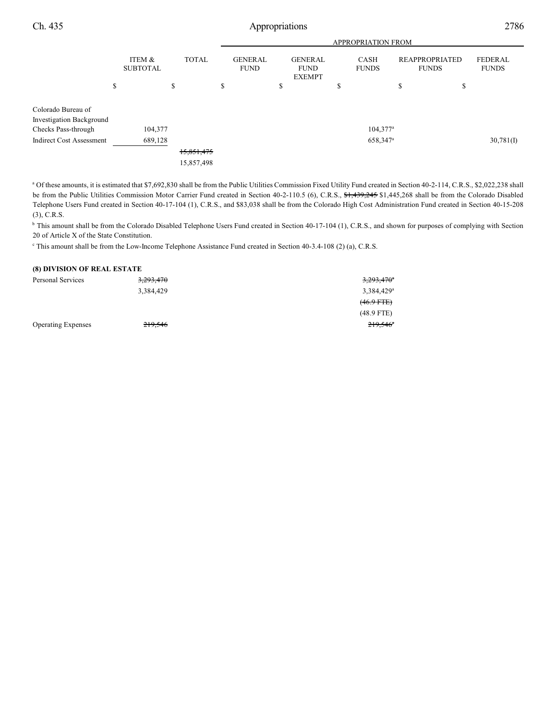|                                                       |                           |              |                               |                                                |   | <b>APPROPRIATION FROM</b>   |                                       |    |                                |
|-------------------------------------------------------|---------------------------|--------------|-------------------------------|------------------------------------------------|---|-----------------------------|---------------------------------------|----|--------------------------------|
|                                                       | ITEM &<br><b>SUBTOTAL</b> | <b>TOTAL</b> | <b>GENERAL</b><br><b>FUND</b> | <b>GENERAL</b><br><b>FUND</b><br><b>EXEMPT</b> |   | <b>CASH</b><br><b>FUNDS</b> | <b>REAPPROPRIATED</b><br><b>FUNDS</b> |    | <b>FEDERAL</b><br><b>FUNDS</b> |
|                                                       | \$                        | \$           | \$                            | \$                                             | ъ |                             | \$                                    | \$ |                                |
| Colorado Bureau of<br><b>Investigation Background</b> |                           |              |                               |                                                |   |                             |                                       |    |                                |
| Checks Pass-through                                   | 104,377                   |              |                               |                                                |   | $104,377^a$                 |                                       |    |                                |
| <b>Indirect Cost Assessment</b>                       | 689,128                   |              |                               |                                                |   | 658,347 <sup>a</sup>        |                                       |    | $30,781$ (I)                   |
|                                                       |                           | 15,851,475   |                               |                                                |   |                             |                                       |    |                                |
|                                                       |                           | 15,857,498   |                               |                                                |   |                             |                                       |    |                                |
|                                                       |                           |              |                               |                                                |   |                             |                                       |    |                                |

<sup>a</sup> Of these amounts, it is estimated that \$7,692,830 shall be from the Public Utilities Commission Fixed Utility Fund created in Section 40-2-114, C.R.S., \$2,022,238 shall be from the Public Utilities Commission Motor Carrier Fund created in Section 40-2-110.5 (6), C.R.S., \$1,439,245 \$1,445,268 shall be from the Colorado Disabled Telephone Users Fund created in Section 40-17-104 (1), C.R.S., and \$83,038 shall be from the Colorado High Cost Administration Fund created in Section 40-15-208 (3), C.R.S.

<sup>b</sup> This amount shall be from the Colorado Disabled Telephone Users Fund created in Section 40-17-104 (1), C.R.S., and shown for purposes of complying with Section 20 of Article X of the State Constitution.

<sup>c</sup> This amount shall be from the Low-Income Telephone Assistance Fund created in Section 40-3.4-108 (2) (a), C.R.S.

#### **(8) DIVISION OF REAL ESTATE**

| Personal Services         | 3,293,470 | 3,293,470 <sup>a</sup> |
|---------------------------|-----------|------------------------|
|                           | 3,384,429 | 3,384,429 <sup>a</sup> |
|                           |           | $(46.9$ FTE $)$        |
|                           |           | $(48.9$ FTE)           |
| <b>Operating Expenses</b> | 219,546   | $219,546$ <sup>*</sup> |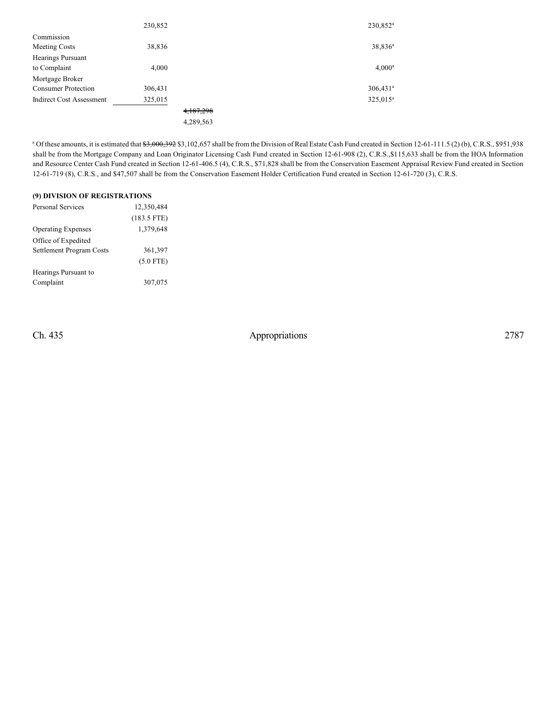|                                 | 230,852 |           | 230,852 <sup>a</sup>   |
|---------------------------------|---------|-----------|------------------------|
| Commission                      |         |           |                        |
| Meeting Costs                   | 38,836  |           | $38,836^a$             |
| <b>Hearings Pursuant</b>        |         |           |                        |
| to Complaint                    | 4,000   |           | $4,000^a$              |
| Mortgage Broker                 |         |           |                        |
| <b>Consumer Protection</b>      | 306,431 |           | $306,431$ <sup>a</sup> |
| <b>Indirect Cost Assessment</b> | 325,015 |           | 325,015 <sup>a</sup>   |
|                                 |         | 4,187,298 |                        |
|                                 |         | 4,289,563 |                        |

<sup>a</sup> Of these amounts, it is estimated that  $\frac{63,000,392}{33,102,657}$  shall be from the Division of Real Estate Cash Fund created in Section 12-61-111.5 (2) (b), C.R.S., \$951,938 shall be from the Mortgage Company and Loan Originator Licensing Cash Fund created in Section 12-61-908 (2), C.R.S.,\$115,633 shall be from the HOA Information and Resource Center Cash Fund created in Section 12-61-406.5 (4), C.R.S., \$71,828 shall be from the Conservation Easement Appraisal Review Fund created in Section 12-61-719 (8), C.R.S., and \$47,507 shall be from the Conservation Easement Holder Certification Fund created in Section 12-61-720 (3), C.R.S.

| (9) DIVISION OF REGISTRATIONS |               |  |  |  |  |
|-------------------------------|---------------|--|--|--|--|
| Personal Services             | 12,350,484    |  |  |  |  |
|                               | $(183.5$ FTE) |  |  |  |  |
| <b>Operating Expenses</b>     | 1,379,648     |  |  |  |  |
| Office of Expedited           |               |  |  |  |  |
| Settlement Program Costs      | 361,397       |  |  |  |  |
|                               | $(5.0$ FTE)   |  |  |  |  |
| Hearings Pursuant to          |               |  |  |  |  |
| Complaint                     | 307,075       |  |  |  |  |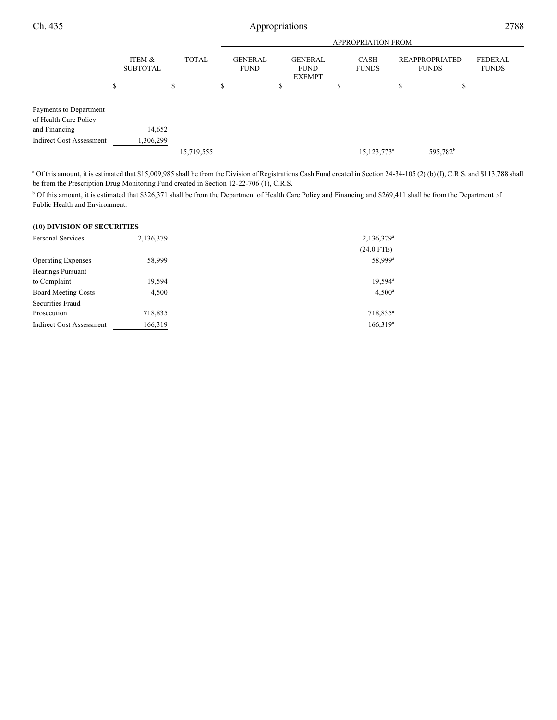|                                                                  |                           |              | APPROPRIATION FROM            |    |                                                |    |                         |   |                                       |                                |
|------------------------------------------------------------------|---------------------------|--------------|-------------------------------|----|------------------------------------------------|----|-------------------------|---|---------------------------------------|--------------------------------|
|                                                                  | ITEM &<br><b>SUBTOTAL</b> | <b>TOTAL</b> | <b>GENERAL</b><br><b>FUND</b> |    | <b>GENERAL</b><br><b>FUND</b><br><b>EXEMPT</b> |    | CASH<br><b>FUNDS</b>    |   | <b>REAPPROPRIATED</b><br><b>FUNDS</b> | <b>FEDERAL</b><br><b>FUNDS</b> |
|                                                                  | \$                        | \$           | \$                            | \$ |                                                | \$ |                         | S | \$                                    |                                |
| Payments to Department<br>of Health Care Policy<br>and Financing | 14,652                    |              |                               |    |                                                |    |                         |   |                                       |                                |
| <b>Indirect Cost Assessment</b>                                  | 1,306,299                 |              |                               |    |                                                |    |                         |   |                                       |                                |
|                                                                  |                           | 15,719,555   |                               |    |                                                |    | 15,123,773 <sup>a</sup> |   | 595,782 <sup>b</sup>                  |                                |

<sup>a</sup> Of this amount, it is estimated that \$15,009,985 shall be from the Division of Registrations Cash Fund created in Section 24-34-105 (2) (b) (I), C.R.S. and \$113,788 shall be from the Prescription Drug Monitoring Fund created in Section 12-22-706 (1), C.R.S.

<sup>b</sup> Of this amount, it is estimated that \$326,371 shall be from the Department of Health Care Policy and Financing and \$269,411 shall be from the Department of Public Health and Environment.

#### **(10) DIVISION OF SECURITIES**

| Personal Services               | 2,136,379 | $2,136,379^a$        |
|---------------------------------|-----------|----------------------|
|                                 |           | $(24.0$ FTE)         |
| <b>Operating Expenses</b>       | 58,999    | 58,999 <sup>a</sup>  |
| <b>Hearings Pursuant</b>        |           |                      |
| to Complaint                    | 19,594    | 19,594 <sup>a</sup>  |
| <b>Board Meeting Costs</b>      | 4,500     | $4,500^{\circ}$      |
| Securities Fraud                |           |                      |
| Prosecution                     | 718,835   | 718,835 <sup>a</sup> |
| <b>Indirect Cost Assessment</b> | 166,319   | $166,319^a$          |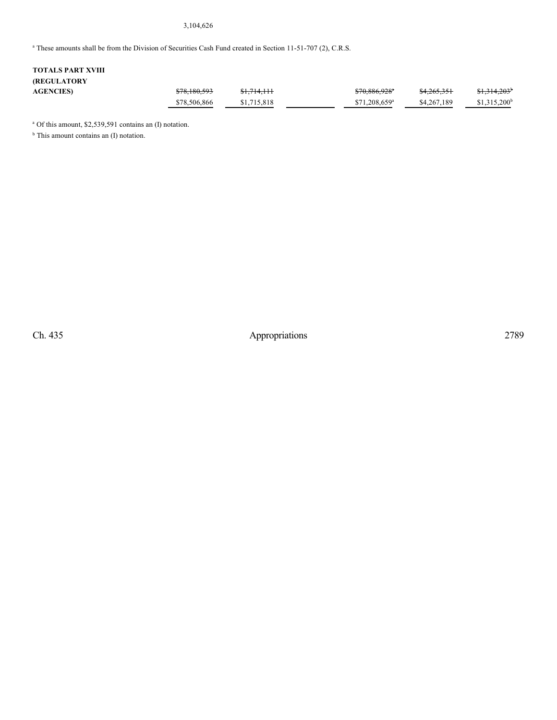#### 3,104,626

<sup>a</sup> These amounts shall be from the Division of Securities Cash Fund created in Section 11-51-707 (2), C.R.S.

## **TOTALS PART XVIII (REGULATORY AGENCIES)** \$78,180,593 \$1,714,111 \$70,886,928 \$4,265,351 \$1,314,203 <sup>a</sup> <sup>b</sup>  $$78,506,866$   $$1,715,818$   $$71,208,659^a$   $$4,267,189$   $$1,315,200^b$

<sup>a</sup> Of this amount, \$2,539,591 contains an (I) notation.

<sup>b</sup> This amount contains an (I) notation.